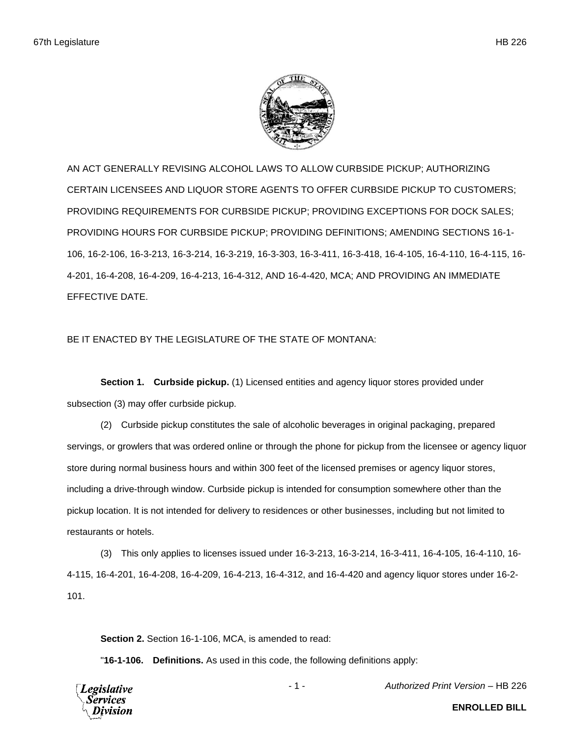

AN ACT GENERALLY REVISING ALCOHOL LAWS TO ALLOW CURBSIDE PICKUP; AUTHORIZING CERTAIN LICENSEES AND LIQUOR STORE AGENTS TO OFFER CURBSIDE PICKUP TO CUSTOMERS; PROVIDING REQUIREMENTS FOR CURBSIDE PICKUP; PROVIDING EXCEPTIONS FOR DOCK SALES; PROVIDING HOURS FOR CURBSIDE PICKUP; PROVIDING DEFINITIONS; AMENDING SECTIONS 16-1- 106, 16-2-106, 16-3-213, 16-3-214, 16-3-219, 16-3-303, 16-3-411, 16-3-418, 16-4-105, 16-4-110, 16-4-115, 16- 4-201, 16-4-208, 16-4-209, 16-4-213, 16-4-312, AND 16-4-420, MCA; AND PROVIDING AN IMMEDIATE EFFECTIVE DATE.

## BE IT ENACTED BY THE LEGISLATURE OF THE STATE OF MONTANA:

**Section 1. Curbside pickup.** (1) Licensed entities and agency liquor stores provided under subsection (3) may offer curbside pickup.

(2) Curbside pickup constitutes the sale of alcoholic beverages in original packaging, prepared servings, or growlers that was ordered online or through the phone for pickup from the licensee or agency liquor store during normal business hours and within 300 feet of the licensed premises or agency liquor stores, including a drive-through window. Curbside pickup is intended for consumption somewhere other than the pickup location. It is not intended for delivery to residences or other businesses, including but not limited to restaurants or hotels.

(3) This only applies to licenses issued under 16-3-213, 16-3-214, 16-3-411, 16-4-105, 16-4-110, 16- 4-115, 16-4-201, 16-4-208, 16-4-209, 16-4-213, 16-4-312, and 16-4-420 and agency liquor stores under 16-2- 101.

**Section 2.** Section 16-1-106, MCA, is amended to read:

"**16-1-106. Definitions.** As used in this code, the following definitions apply:

Legislative 'ervices

- 1 - *Authorized Print Version* – HB 226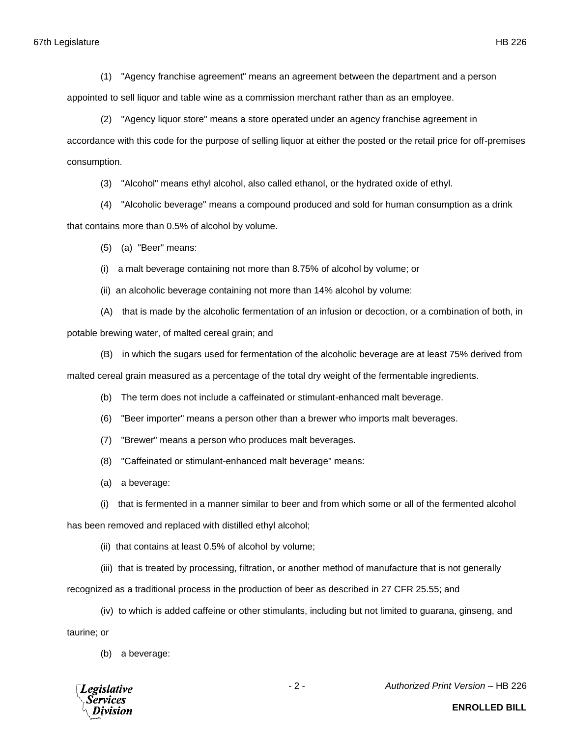(1) "Agency franchise agreement" means an agreement between the department and a person

appointed to sell liquor and table wine as a commission merchant rather than as an employee.

(2) "Agency liquor store" means a store operated under an agency franchise agreement in accordance with this code for the purpose of selling liquor at either the posted or the retail price for off-premises consumption.

(3) "Alcohol" means ethyl alcohol, also called ethanol, or the hydrated oxide of ethyl.

(4) "Alcoholic beverage" means a compound produced and sold for human consumption as a drink that contains more than 0.5% of alcohol by volume.

(5) (a) "Beer" means:

(i) a malt beverage containing not more than 8.75% of alcohol by volume; or

(ii) an alcoholic beverage containing not more than 14% alcohol by volume:

(A) that is made by the alcoholic fermentation of an infusion or decoction, or a combination of both, in potable brewing water, of malted cereal grain; and

(B) in which the sugars used for fermentation of the alcoholic beverage are at least 75% derived from

malted cereal grain measured as a percentage of the total dry weight of the fermentable ingredients.

(b) The term does not include a caffeinated or stimulant-enhanced malt beverage.

- (6) "Beer importer" means a person other than a brewer who imports malt beverages.
- (7) "Brewer" means a person who produces malt beverages.
- (8) "Caffeinated or stimulant-enhanced malt beverage" means:
- (a) a beverage:

(i) that is fermented in a manner similar to beer and from which some or all of the fermented alcohol

has been removed and replaced with distilled ethyl alcohol;

(ii) that contains at least 0.5% of alcohol by volume;

(iii) that is treated by processing, filtration, or another method of manufacture that is not generally

recognized as a traditional process in the production of beer as described in 27 CFR 25.55; and

(iv) to which is added caffeine or other stimulants, including but not limited to guarana, ginseng, and taurine; or

(b) a beverage:



- 2 - *Authorized Print Version* – HB 226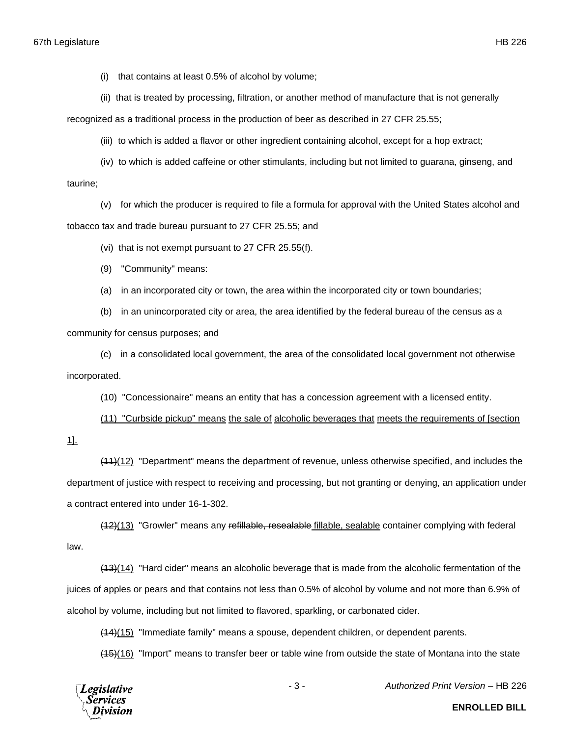(i) that contains at least 0.5% of alcohol by volume;

(ii) that is treated by processing, filtration, or another method of manufacture that is not generally

recognized as a traditional process in the production of beer as described in 27 CFR 25.55;

(iii) to which is added a flavor or other ingredient containing alcohol, except for a hop extract;

(iv) to which is added caffeine or other stimulants, including but not limited to guarana, ginseng, and taurine;

(v) for which the producer is required to file a formula for approval with the United States alcohol and tobacco tax and trade bureau pursuant to 27 CFR 25.55; and

(vi) that is not exempt pursuant to 27 CFR 25.55(f).

(9) "Community" means:

(a) in an incorporated city or town, the area within the incorporated city or town boundaries;

(b) in an unincorporated city or area, the area identified by the federal bureau of the census as a community for census purposes; and

(c) in a consolidated local government, the area of the consolidated local government not otherwise incorporated.

(10) "Concessionaire" means an entity that has a concession agreement with a licensed entity.

(11) "Curbside pickup" means the sale of alcoholic beverages that meets the requirements of [section 1].

(11)(12) "Department" means the department of revenue, unless otherwise specified, and includes the department of justice with respect to receiving and processing, but not granting or denying, an application under a contract entered into under 16-1-302.

(12)(13) "Growler" means any refillable, resealable fillable, sealable container complying with federal law.

(13)(14) "Hard cider" means an alcoholic beverage that is made from the alcoholic fermentation of the juices of apples or pears and that contains not less than 0.5% of alcohol by volume and not more than 6.9% of alcohol by volume, including but not limited to flavored, sparkling, or carbonated cider.

(14)(15) "Immediate family" means a spouse, dependent children, or dependent parents.

(15)(16) "Import" means to transfer beer or table wine from outside the state of Montana into the state



- 3 - *Authorized Print Version* – HB 226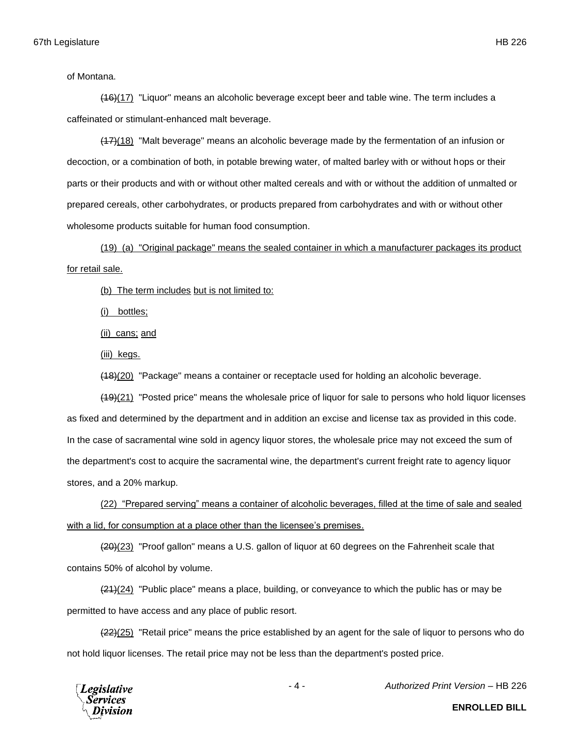of Montana.

(16)(17) "Liquor" means an alcoholic beverage except beer and table wine. The term includes a caffeinated or stimulant-enhanced malt beverage.

(17)(18) "Malt beverage" means an alcoholic beverage made by the fermentation of an infusion or decoction, or a combination of both, in potable brewing water, of malted barley with or without hops or their parts or their products and with or without other malted cereals and with or without the addition of unmalted or prepared cereals, other carbohydrates, or products prepared from carbohydrates and with or without other wholesome products suitable for human food consumption.

(19) (a) "Original package" means the sealed container in which a manufacturer packages its product for retail sale.

(b) The term includes but is not limited to:

(i) bottles;

(ii) cans; and

(iii) kegs.

(18)(20) "Package" means a container or receptacle used for holding an alcoholic beverage.

(19)(21) "Posted price" means the wholesale price of liquor for sale to persons who hold liquor licenses as fixed and determined by the department and in addition an excise and license tax as provided in this code. In the case of sacramental wine sold in agency liquor stores, the wholesale price may not exceed the sum of the department's cost to acquire the sacramental wine, the department's current freight rate to agency liquor stores, and a 20% markup.

(22) "Prepared serving" means a container of alcoholic beverages, filled at the time of sale and sealed with a lid, for consumption at a place other than the licensee's premises.

(20)(23) "Proof gallon" means a U.S. gallon of liquor at 60 degrees on the Fahrenheit scale that contains 50% of alcohol by volume.

 $(21)(24)$  "Public place" means a place, building, or conveyance to which the public has or may be permitted to have access and any place of public resort.

 $(22)(25)$  "Retail price" means the price established by an agent for the sale of liquor to persons who do not hold liquor licenses. The retail price may not be less than the department's posted price.



- 4 - *Authorized Print Version* – HB 226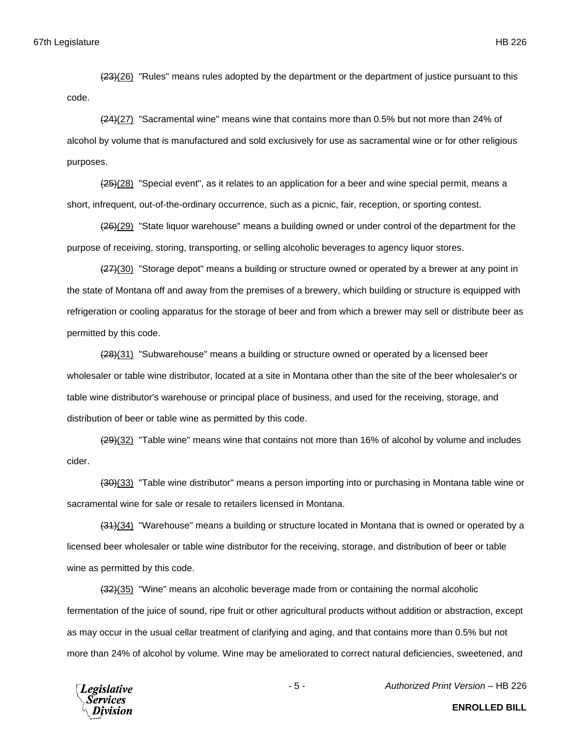(23)(26) "Rules" means rules adopted by the department or the department of justice pursuant to this code.

(24)(27) "Sacramental wine" means wine that contains more than 0.5% but not more than 24% of alcohol by volume that is manufactured and sold exclusively for use as sacramental wine or for other religious purposes.

 $(25)(28)$  "Special event", as it relates to an application for a beer and wine special permit, means a short, infrequent, out-of-the-ordinary occurrence, such as a picnic, fair, reception, or sporting contest.

(26)(29) "State liquor warehouse" means a building owned or under control of the department for the purpose of receiving, storing, transporting, or selling alcoholic beverages to agency liquor stores.

 $(27)(30)$  "Storage depot" means a building or structure owned or operated by a brewer at any point in the state of Montana off and away from the premises of a brewery, which building or structure is equipped with refrigeration or cooling apparatus for the storage of beer and from which a brewer may sell or distribute beer as permitted by this code.

(28)(31) "Subwarehouse" means a building or structure owned or operated by a licensed beer wholesaler or table wine distributor, located at a site in Montana other than the site of the beer wholesaler's or table wine distributor's warehouse or principal place of business, and used for the receiving, storage, and distribution of beer or table wine as permitted by this code.

 $(29)(32)$  "Table wine" means wine that contains not more than 16% of alcohol by volume and includes cider.

(30)(33) "Table wine distributor" means a person importing into or purchasing in Montana table wine or sacramental wine for sale or resale to retailers licensed in Montana.

(31)(34) "Warehouse" means a building or structure located in Montana that is owned or operated by a licensed beer wholesaler or table wine distributor for the receiving, storage, and distribution of beer or table wine as permitted by this code.

(32)(35) "Wine" means an alcoholic beverage made from or containing the normal alcoholic fermentation of the juice of sound, ripe fruit or other agricultural products without addition or abstraction, except as may occur in the usual cellar treatment of clarifying and aging, and that contains more than 0.5% but not more than 24% of alcohol by volume. Wine may be ameliorated to correct natural deficiencies, sweetened, and



- 5 - *Authorized Print Version* – HB 226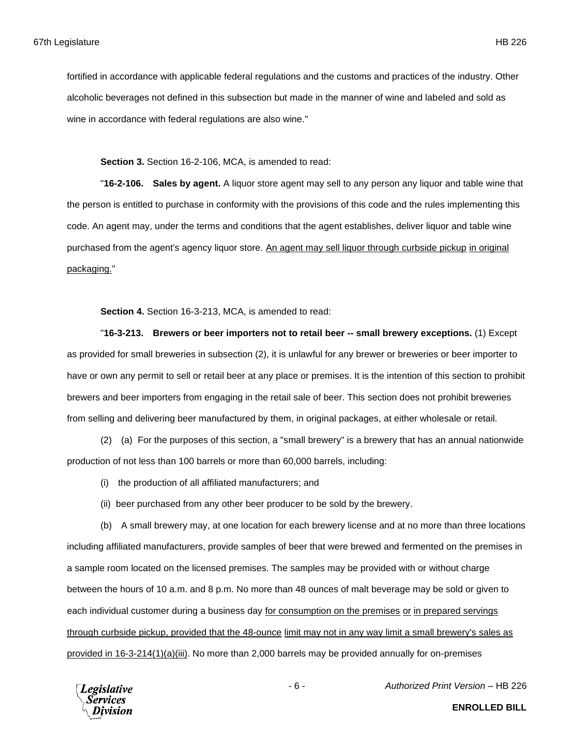fortified in accordance with applicable federal regulations and the customs and practices of the industry. Other alcoholic beverages not defined in this subsection but made in the manner of wine and labeled and sold as wine in accordance with federal regulations are also wine."

**Section 3.** Section 16-2-106, MCA, is amended to read:

"**16-2-106. Sales by agent.** A liquor store agent may sell to any person any liquor and table wine that the person is entitled to purchase in conformity with the provisions of this code and the rules implementing this code. An agent may, under the terms and conditions that the agent establishes, deliver liquor and table wine purchased from the agent's agency liquor store. An agent may sell liquor through curbside pickup in original packaging."

**Section 4.** Section 16-3-213, MCA, is amended to read:

"**16-3-213. Brewers or beer importers not to retail beer -- small brewery exceptions.** (1) Except as provided for small breweries in subsection (2), it is unlawful for any brewer or breweries or beer importer to have or own any permit to sell or retail beer at any place or premises. It is the intention of this section to prohibit brewers and beer importers from engaging in the retail sale of beer. This section does not prohibit breweries from selling and delivering beer manufactured by them, in original packages, at either wholesale or retail.

(2) (a) For the purposes of this section, a "small brewery" is a brewery that has an annual nationwide production of not less than 100 barrels or more than 60,000 barrels, including:

(i) the production of all affiliated manufacturers; and

(ii) beer purchased from any other beer producer to be sold by the brewery.

(b) A small brewery may, at one location for each brewery license and at no more than three locations including affiliated manufacturers, provide samples of beer that were brewed and fermented on the premises in a sample room located on the licensed premises. The samples may be provided with or without charge between the hours of 10 a.m. and 8 p.m. No more than 48 ounces of malt beverage may be sold or given to each individual customer during a business day for consumption on the premises or in prepared servings through curbside pickup, provided that the 48-ounce limit may not in any way limit a small brewery's sales as provided in 16-3-214(1)(a)(iii). No more than 2,000 barrels may be provided annually for on-premises



- 6 - *Authorized Print Version* – HB 226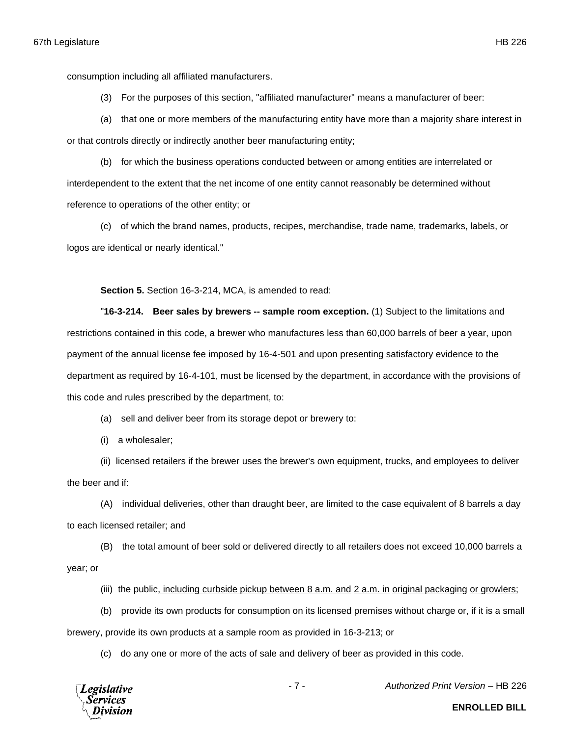consumption including all affiliated manufacturers.

(3) For the purposes of this section, "affiliated manufacturer" means a manufacturer of beer:

(a) that one or more members of the manufacturing entity have more than a majority share interest in or that controls directly or indirectly another beer manufacturing entity;

(b) for which the business operations conducted between or among entities are interrelated or interdependent to the extent that the net income of one entity cannot reasonably be determined without reference to operations of the other entity; or

(c) of which the brand names, products, recipes, merchandise, trade name, trademarks, labels, or logos are identical or nearly identical."

**Section 5.** Section 16-3-214, MCA, is amended to read:

"**16-3-214. Beer sales by brewers -- sample room exception.** (1) Subject to the limitations and restrictions contained in this code, a brewer who manufactures less than 60,000 barrels of beer a year, upon payment of the annual license fee imposed by 16-4-501 and upon presenting satisfactory evidence to the department as required by 16-4-101, must be licensed by the department, in accordance with the provisions of this code and rules prescribed by the department, to:

(a) sell and deliver beer from its storage depot or brewery to:

(i) a wholesaler;

(ii) licensed retailers if the brewer uses the brewer's own equipment, trucks, and employees to deliver the beer and if:

(A) individual deliveries, other than draught beer, are limited to the case equivalent of 8 barrels a day to each licensed retailer; and

(B) the total amount of beer sold or delivered directly to all retailers does not exceed 10,000 barrels a year; or

(iii) the public, including curbside pickup between 8 a.m. and 2 a.m. in original packaging or growlers;

(b) provide its own products for consumption on its licensed premises without charge or, if it is a small brewery, provide its own products at a sample room as provided in 16-3-213; or

(c) do any one or more of the acts of sale and delivery of beer as provided in this code.



- 7 - *Authorized Print Version* – HB 226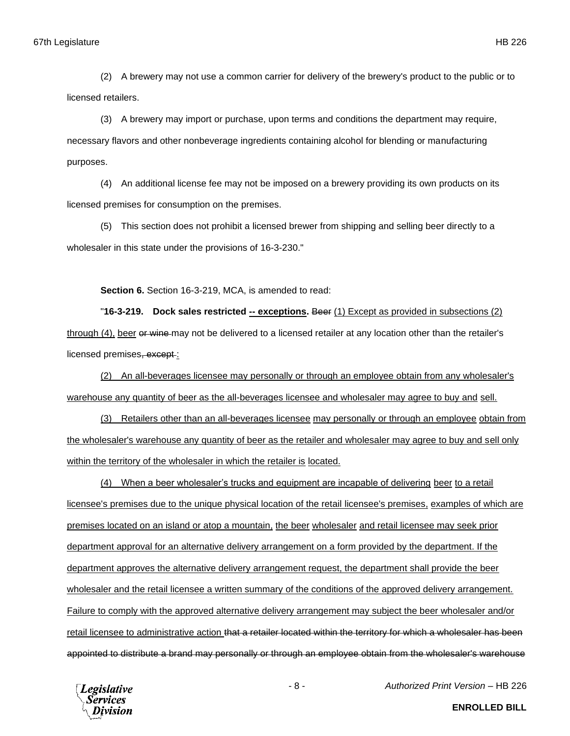(2) A brewery may not use a common carrier for delivery of the brewery's product to the public or to licensed retailers.

(3) A brewery may import or purchase, upon terms and conditions the department may require, necessary flavors and other nonbeverage ingredients containing alcohol for blending or manufacturing purposes.

(4) An additional license fee may not be imposed on a brewery providing its own products on its licensed premises for consumption on the premises.

(5) This section does not prohibit a licensed brewer from shipping and selling beer directly to a wholesaler in this state under the provisions of 16-3-230."

**Section 6.** Section 16-3-219, MCA, is amended to read:

"**16-3-219. Dock sales restricted -- exceptions.** Beer (1) Except as provided in subsections (2) through (4), beer or wine may not be delivered to a licensed retailer at any location other than the retailer's licensed premises, except:

(2) An all-beverages licensee may personally or through an employee obtain from any wholesaler's warehouse any quantity of beer as the all-beverages licensee and wholesaler may agree to buy and sell.

(3) Retailers other than an all-beverages licensee may personally or through an employee obtain from the wholesaler's warehouse any quantity of beer as the retailer and wholesaler may agree to buy and sell only within the territory of the wholesaler in which the retailer is located.

(4) When a beer wholesaler's trucks and equipment are incapable of delivering beer to a retail licensee's premises due to the unique physical location of the retail licensee's premises, examples of which are premises located on an island or atop a mountain, the beer wholesaler and retail licensee may seek prior department approval for an alternative delivery arrangement on a form provided by the department. If the department approves the alternative delivery arrangement request, the department shall provide the beer wholesaler and the retail licensee a written summary of the conditions of the approved delivery arrangement. Failure to comply with the approved alternative delivery arrangement may subject the beer wholesaler and/or retail licensee to administrative action that a retailer located within the territory for which a wholesaler has been appointed to distribute a brand may personally or through an employee obtain from the wholesaler's warehouse



- 8 - *Authorized Print Version* – HB 226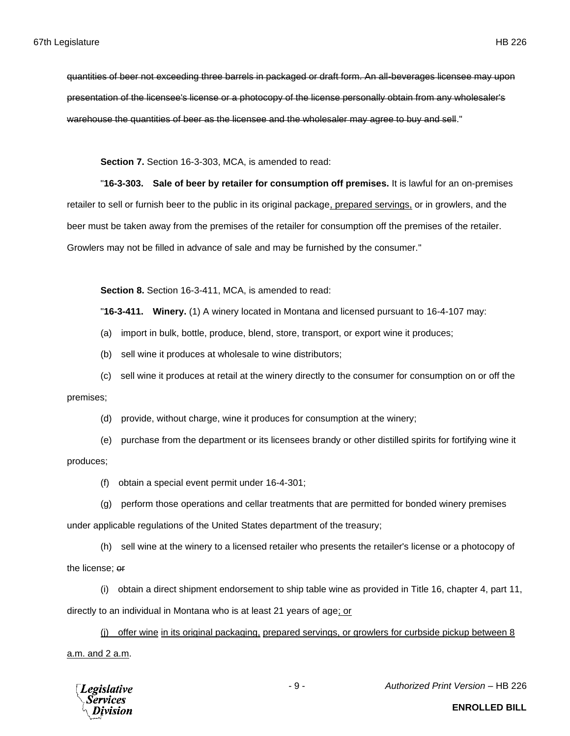quantities of beer not exceeding three barrels in packaged or draft form. An all-beverages licensee may upon presentation of the licensee's license or a photocopy of the license personally obtain from any wholesaler's warehouse the quantities of beer as the licensee and the wholesaler may agree to buy and sell."

**Section 7.** Section 16-3-303, MCA, is amended to read:

"**16-3-303. Sale of beer by retailer for consumption off premises.** It is lawful for an on-premises retailer to sell or furnish beer to the public in its original package, prepared servings, or in growlers, and the beer must be taken away from the premises of the retailer for consumption off the premises of the retailer. Growlers may not be filled in advance of sale and may be furnished by the consumer."

**Section 8.** Section 16-3-411, MCA, is amended to read:

"**16-3-411. Winery.** (1) A winery located in Montana and licensed pursuant to 16-4-107 may:

(a) import in bulk, bottle, produce, blend, store, transport, or export wine it produces;

- (b) sell wine it produces at wholesale to wine distributors;
- (c) sell wine it produces at retail at the winery directly to the consumer for consumption on or off the

premises;

(d) provide, without charge, wine it produces for consumption at the winery;

(e) purchase from the department or its licensees brandy or other distilled spirits for fortifying wine it produces;

(f) obtain a special event permit under 16-4-301;

(g) perform those operations and cellar treatments that are permitted for bonded winery premises under applicable regulations of the United States department of the treasury;

(h) sell wine at the winery to a licensed retailer who presents the retailer's license or a photocopy of the license; or

(i) obtain a direct shipment endorsement to ship table wine as provided in Title 16, chapter 4, part 11, directly to an individual in Montana who is at least 21 years of age; or

(j) offer wine in its original packaging, prepared servings, or growlers for curbside pickup between 8 a.m. and 2 a.m.



- 9 - *Authorized Print Version* – HB 226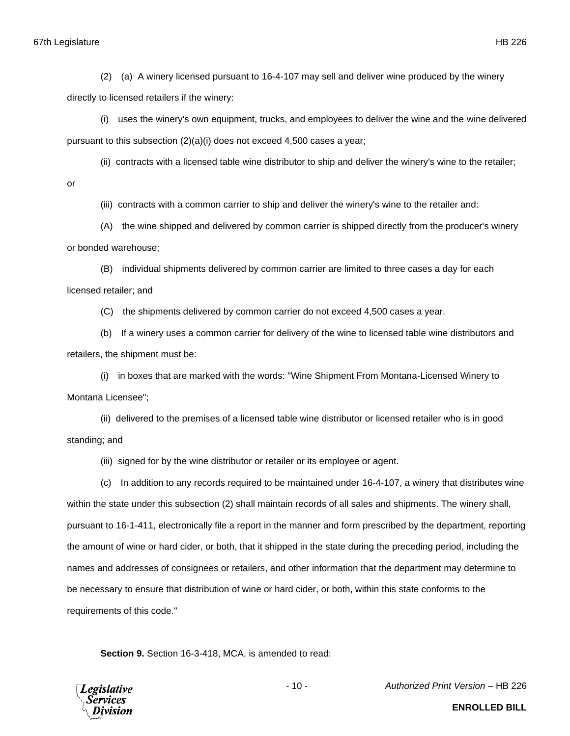(2) (a) A winery licensed pursuant to 16-4-107 may sell and deliver wine produced by the winery directly to licensed retailers if the winery:

(i) uses the winery's own equipment, trucks, and employees to deliver the wine and the wine delivered pursuant to this subsection (2)(a)(i) does not exceed 4,500 cases a year;

(ii) contracts with a licensed table wine distributor to ship and deliver the winery's wine to the retailer;

or

(iii) contracts with a common carrier to ship and deliver the winery's wine to the retailer and:

(A) the wine shipped and delivered by common carrier is shipped directly from the producer's winery or bonded warehouse;

(B) individual shipments delivered by common carrier are limited to three cases a day for each licensed retailer; and

(C) the shipments delivered by common carrier do not exceed 4,500 cases a year.

(b) If a winery uses a common carrier for delivery of the wine to licensed table wine distributors and retailers, the shipment must be:

(i) in boxes that are marked with the words: "Wine Shipment From Montana-Licensed Winery to Montana Licensee";

(ii) delivered to the premises of a licensed table wine distributor or licensed retailer who is in good standing; and

(iii) signed for by the wine distributor or retailer or its employee or agent.

(c) In addition to any records required to be maintained under 16-4-107, a winery that distributes wine within the state under this subsection (2) shall maintain records of all sales and shipments. The winery shall, pursuant to 16-1-411, electronically file a report in the manner and form prescribed by the department, reporting the amount of wine or hard cider, or both, that it shipped in the state during the preceding period, including the names and addresses of consignees or retailers, and other information that the department may determine to be necessary to ensure that distribution of wine or hard cider, or both, within this state conforms to the requirements of this code."

**Section 9.** Section 16-3-418, MCA, is amended to read:

**Legislative** *Services* Division

- 10 - *Authorized Print Version* – HB 226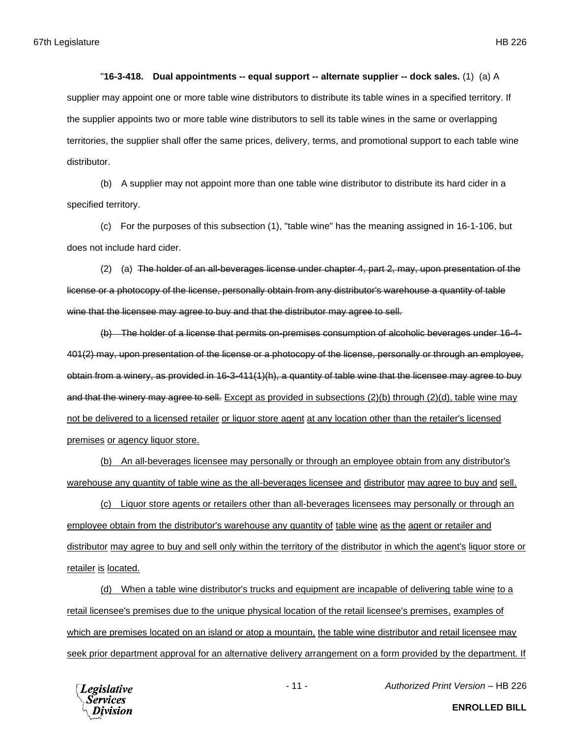## "**16-3-418. Dual appointments -- equal support -- alternate supplier -- dock sales.** (1) (a) A

supplier may appoint one or more table wine distributors to distribute its table wines in a specified territory. If the supplier appoints two or more table wine distributors to sell its table wines in the same or overlapping territories, the supplier shall offer the same prices, delivery, terms, and promotional support to each table wine distributor.

(b) A supplier may not appoint more than one table wine distributor to distribute its hard cider in a specified territory.

(c) For the purposes of this subsection (1), "table wine" has the meaning assigned in 16-1-106, but does not include hard cider.

(2) (a) The holder of an all-beverages license under chapter 4, part 2, may, upon presentation of the license or a photocopy of the license, personally obtain from any distributor's warehouse a quantity of table wine that the licensee may agree to buy and that the distributor may agree to sell.

(b) The holder of a license that permits on-premises consumption of alcoholic beverages under 16-4- 401(2) may, upon presentation of the license or a photocopy of the license, personally or through an employee, obtain from a winery, as provided in 16-3-411(1)(h), a quantity of table wine that the licensee may agree to buy and that the winery may agree to sell. Except as provided in subsections (2)(b) through (2)(d), table wine may not be delivered to a licensed retailer or liquor store agent at any location other than the retailer's licensed premises or agency liquor store.

(b) An all-beverages licensee may personally or through an employee obtain from any distributor's warehouse any quantity of table wine as the all-beverages licensee and distributor may agree to buy and sell.

(c) Liquor store agents or retailers other than all-beverages licensees may personally or through an employee obtain from the distributor's warehouse any quantity of table wine as the agent or retailer and distributor may agree to buy and sell only within the territory of the distributor in which the agent's liquor store or retailer is located.

(d) When a table wine distributor's trucks and equipment are incapable of delivering table wine to a retail licensee's premises due to the unique physical location of the retail licensee's premises, examples of which are premises located on an island or atop a mountain, the table wine distributor and retail licensee may seek prior department approval for an alternative delivery arrangement on a form provided by the department. If



- 11 - *Authorized Print Version* – HB 226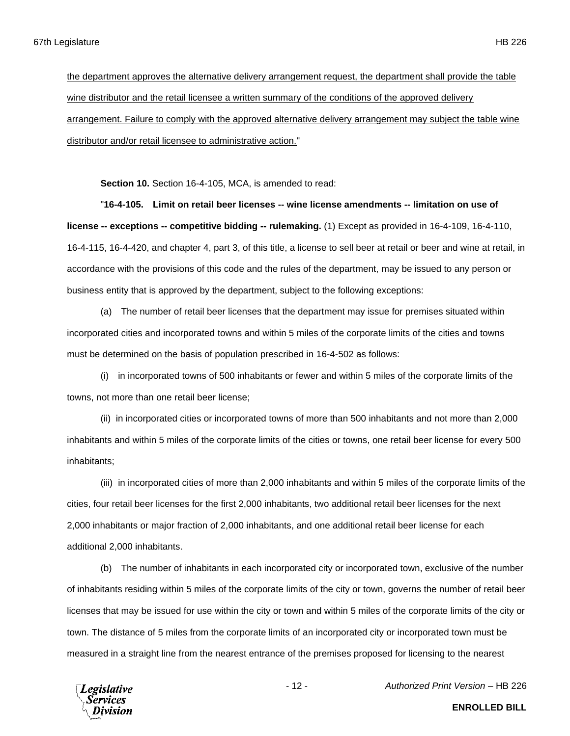the department approves the alternative delivery arrangement request, the department shall provide the table wine distributor and the retail licensee a written summary of the conditions of the approved delivery arrangement. Failure to comply with the approved alternative delivery arrangement may subject the table wine distributor and/or retail licensee to administrative action."

**Section 10.** Section 16-4-105, MCA, is amended to read:

"**16-4-105. Limit on retail beer licenses -- wine license amendments -- limitation on use of license -- exceptions -- competitive bidding -- rulemaking.** (1) Except as provided in 16-4-109, 16-4-110, 16-4-115, 16-4-420, and chapter 4, part 3, of this title, a license to sell beer at retail or beer and wine at retail, in accordance with the provisions of this code and the rules of the department, may be issued to any person or business entity that is approved by the department, subject to the following exceptions:

(a) The number of retail beer licenses that the department may issue for premises situated within incorporated cities and incorporated towns and within 5 miles of the corporate limits of the cities and towns must be determined on the basis of population prescribed in 16-4-502 as follows:

(i) in incorporated towns of 500 inhabitants or fewer and within 5 miles of the corporate limits of the towns, not more than one retail beer license;

(ii) in incorporated cities or incorporated towns of more than 500 inhabitants and not more than 2,000 inhabitants and within 5 miles of the corporate limits of the cities or towns, one retail beer license for every 500 inhabitants;

(iii) in incorporated cities of more than 2,000 inhabitants and within 5 miles of the corporate limits of the cities, four retail beer licenses for the first 2,000 inhabitants, two additional retail beer licenses for the next 2,000 inhabitants or major fraction of 2,000 inhabitants, and one additional retail beer license for each additional 2,000 inhabitants.

(b) The number of inhabitants in each incorporated city or incorporated town, exclusive of the number of inhabitants residing within 5 miles of the corporate limits of the city or town, governs the number of retail beer licenses that may be issued for use within the city or town and within 5 miles of the corporate limits of the city or town. The distance of 5 miles from the corporate limits of an incorporated city or incorporated town must be measured in a straight line from the nearest entrance of the premises proposed for licensing to the nearest



- 12 - *Authorized Print Version* – HB 226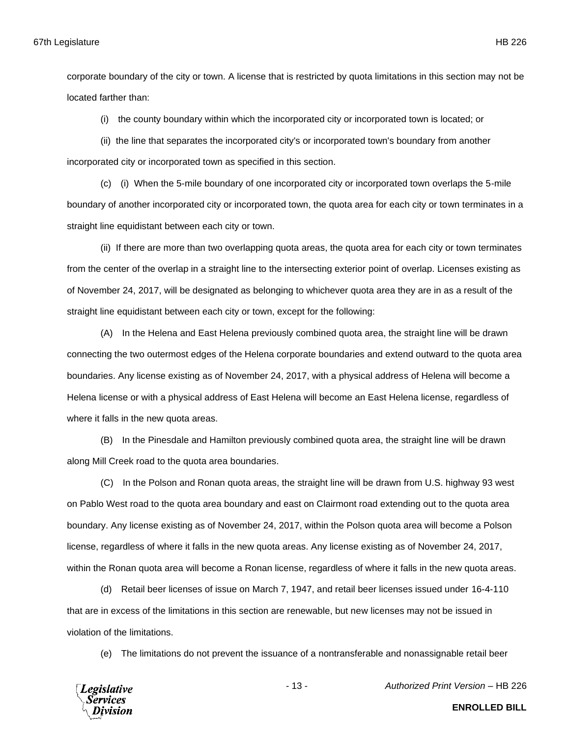corporate boundary of the city or town. A license that is restricted by quota limitations in this section may not be located farther than:

(i) the county boundary within which the incorporated city or incorporated town is located; or

(ii) the line that separates the incorporated city's or incorporated town's boundary from another incorporated city or incorporated town as specified in this section.

(c) (i) When the 5-mile boundary of one incorporated city or incorporated town overlaps the 5-mile boundary of another incorporated city or incorporated town, the quota area for each city or town terminates in a straight line equidistant between each city or town.

(ii) If there are more than two overlapping quota areas, the quota area for each city or town terminates from the center of the overlap in a straight line to the intersecting exterior point of overlap. Licenses existing as of November 24, 2017, will be designated as belonging to whichever quota area they are in as a result of the straight line equidistant between each city or town, except for the following:

(A) In the Helena and East Helena previously combined quota area, the straight line will be drawn connecting the two outermost edges of the Helena corporate boundaries and extend outward to the quota area boundaries. Any license existing as of November 24, 2017, with a physical address of Helena will become a Helena license or with a physical address of East Helena will become an East Helena license, regardless of where it falls in the new quota areas.

(B) In the Pinesdale and Hamilton previously combined quota area, the straight line will be drawn along Mill Creek road to the quota area boundaries.

(C) In the Polson and Ronan quota areas, the straight line will be drawn from U.S. highway 93 west on Pablo West road to the quota area boundary and east on Clairmont road extending out to the quota area boundary. Any license existing as of November 24, 2017, within the Polson quota area will become a Polson license, regardless of where it falls in the new quota areas. Any license existing as of November 24, 2017, within the Ronan quota area will become a Ronan license, regardless of where it falls in the new quota areas.

(d) Retail beer licenses of issue on March 7, 1947, and retail beer licenses issued under 16-4-110 that are in excess of the limitations in this section are renewable, but new licenses may not be issued in violation of the limitations.

(e) The limitations do not prevent the issuance of a nontransferable and nonassignable retail beer

**Legislative** Services

- 13 - *Authorized Print Version* – HB 226

**ENROLLED BILL**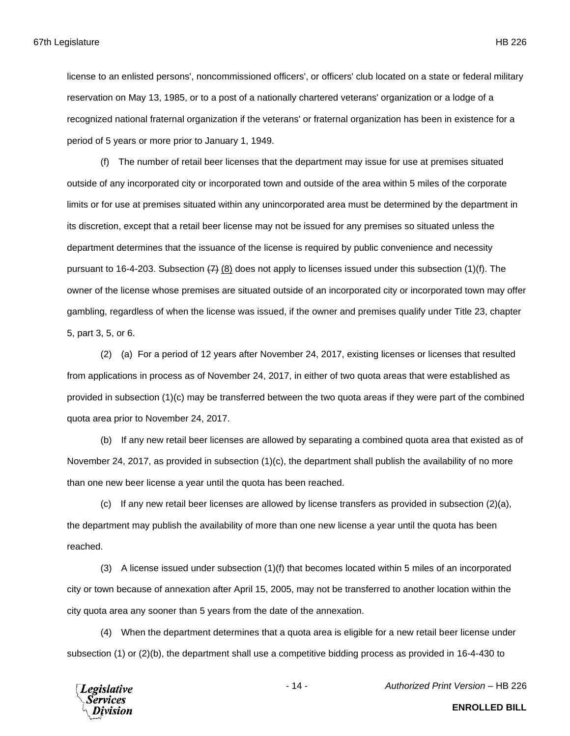license to an enlisted persons', noncommissioned officers', or officers' club located on a state or federal military reservation on May 13, 1985, or to a post of a nationally chartered veterans' organization or a lodge of a recognized national fraternal organization if the veterans' or fraternal organization has been in existence for a period of 5 years or more prior to January 1, 1949.

(f) The number of retail beer licenses that the department may issue for use at premises situated outside of any incorporated city or incorporated town and outside of the area within 5 miles of the corporate limits or for use at premises situated within any unincorporated area must be determined by the department in its discretion, except that a retail beer license may not be issued for any premises so situated unless the department determines that the issuance of the license is required by public convenience and necessity pursuant to 16-4-203. Subsection  $(7)$  (8) does not apply to licenses issued under this subsection (1)(f). The owner of the license whose premises are situated outside of an incorporated city or incorporated town may offer gambling, regardless of when the license was issued, if the owner and premises qualify under Title 23, chapter 5, part 3, 5, or 6.

(2) (a) For a period of 12 years after November 24, 2017, existing licenses or licenses that resulted from applications in process as of November 24, 2017, in either of two quota areas that were established as provided in subsection (1)(c) may be transferred between the two quota areas if they were part of the combined quota area prior to November 24, 2017.

(b) If any new retail beer licenses are allowed by separating a combined quota area that existed as of November 24, 2017, as provided in subsection (1)(c), the department shall publish the availability of no more than one new beer license a year until the quota has been reached.

(c) If any new retail beer licenses are allowed by license transfers as provided in subsection (2)(a), the department may publish the availability of more than one new license a year until the quota has been reached.

(3) A license issued under subsection (1)(f) that becomes located within 5 miles of an incorporated city or town because of annexation after April 15, 2005, may not be transferred to another location within the city quota area any sooner than 5 years from the date of the annexation.

(4) When the department determines that a quota area is eligible for a new retail beer license under subsection (1) or (2)(b), the department shall use a competitive bidding process as provided in 16-4-430 to



- 14 - *Authorized Print Version* – HB 226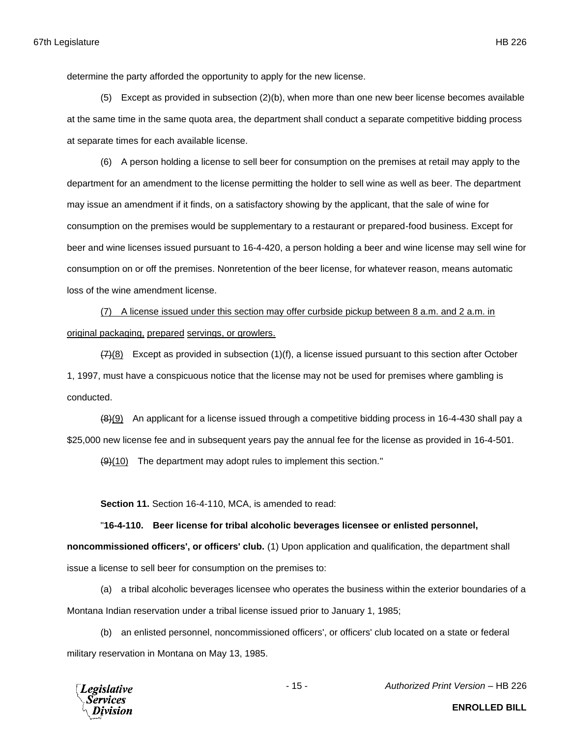determine the party afforded the opportunity to apply for the new license.

(5) Except as provided in subsection (2)(b), when more than one new beer license becomes available at the same time in the same quota area, the department shall conduct a separate competitive bidding process at separate times for each available license.

(6) A person holding a license to sell beer for consumption on the premises at retail may apply to the department for an amendment to the license permitting the holder to sell wine as well as beer. The department may issue an amendment if it finds, on a satisfactory showing by the applicant, that the sale of wine for consumption on the premises would be supplementary to a restaurant or prepared-food business. Except for beer and wine licenses issued pursuant to 16-4-420, a person holding a beer and wine license may sell wine for consumption on or off the premises. Nonretention of the beer license, for whatever reason, means automatic loss of the wine amendment license.

(7) A license issued under this section may offer curbside pickup between 8 a.m. and 2 a.m. in original packaging, prepared servings, or growlers.

 $(7)(8)$  Except as provided in subsection (1)(f), a license issued pursuant to this section after October 1, 1997, must have a conspicuous notice that the license may not be used for premises where gambling is conducted.

 $(8)(9)$  An applicant for a license issued through a competitive bidding process in 16-4-430 shall pay a \$25,000 new license fee and in subsequent years pay the annual fee for the license as provided in 16-4-501.

(9)(10) The department may adopt rules to implement this section."

**Section 11.** Section 16-4-110, MCA, is amended to read:

"**16-4-110. Beer license for tribal alcoholic beverages licensee or enlisted personnel, noncommissioned officers', or officers' club.** (1) Upon application and qualification, the department shall issue a license to sell beer for consumption on the premises to:

(a) a tribal alcoholic beverages licensee who operates the business within the exterior boundaries of a Montana Indian reservation under a tribal license issued prior to January 1, 1985;

(b) an enlisted personnel, noncommissioned officers', or officers' club located on a state or federal military reservation in Montana on May 13, 1985.



- 15 - *Authorized Print Version* – HB 226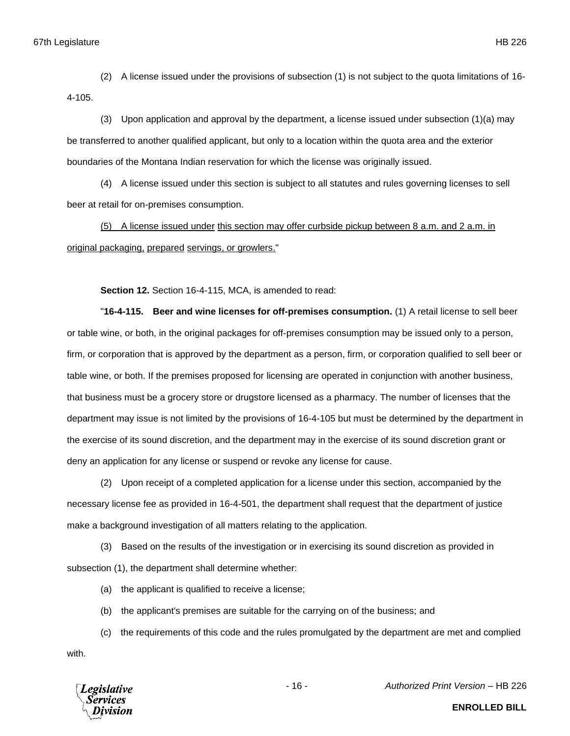(2) A license issued under the provisions of subsection (1) is not subject to the quota limitations of 16-

4-105.

(3) Upon application and approval by the department, a license issued under subsection (1)(a) may be transferred to another qualified applicant, but only to a location within the quota area and the exterior boundaries of the Montana Indian reservation for which the license was originally issued.

(4) A license issued under this section is subject to all statutes and rules governing licenses to sell beer at retail for on-premises consumption.

(5) A license issued under this section may offer curbside pickup between 8 a.m. and 2 a.m. in original packaging, prepared servings, or growlers."

**Section 12.** Section 16-4-115, MCA, is amended to read:

"**16-4-115. Beer and wine licenses for off-premises consumption.** (1) A retail license to sell beer or table wine, or both, in the original packages for off-premises consumption may be issued only to a person, firm, or corporation that is approved by the department as a person, firm, or corporation qualified to sell beer or table wine, or both. If the premises proposed for licensing are operated in conjunction with another business, that business must be a grocery store or drugstore licensed as a pharmacy. The number of licenses that the department may issue is not limited by the provisions of 16-4-105 but must be determined by the department in the exercise of its sound discretion, and the department may in the exercise of its sound discretion grant or deny an application for any license or suspend or revoke any license for cause.

(2) Upon receipt of a completed application for a license under this section, accompanied by the necessary license fee as provided in 16-4-501, the department shall request that the department of justice make a background investigation of all matters relating to the application.

(3) Based on the results of the investigation or in exercising its sound discretion as provided in subsection (1), the department shall determine whether:

(a) the applicant is qualified to receive a license;

(b) the applicant's premises are suitable for the carrying on of the business; and

(c) the requirements of this code and the rules promulgated by the department are met and complied with.



- 16 - *Authorized Print Version* – HB 226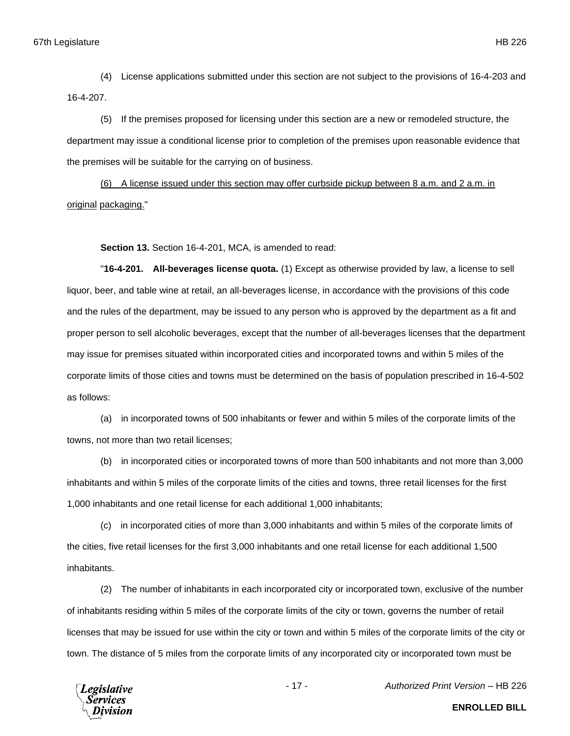(4) License applications submitted under this section are not subject to the provisions of 16-4-203 and 16-4-207.

(5) If the premises proposed for licensing under this section are a new or remodeled structure, the department may issue a conditional license prior to completion of the premises upon reasonable evidence that the premises will be suitable for the carrying on of business.

(6) A license issued under this section may offer curbside pickup between 8 a.m. and 2 a.m. in original packaging."

**Section 13.** Section 16-4-201, MCA, is amended to read:

"**16-4-201. All-beverages license quota.** (1) Except as otherwise provided by law, a license to sell liquor, beer, and table wine at retail, an all-beverages license, in accordance with the provisions of this code and the rules of the department, may be issued to any person who is approved by the department as a fit and proper person to sell alcoholic beverages, except that the number of all-beverages licenses that the department may issue for premises situated within incorporated cities and incorporated towns and within 5 miles of the corporate limits of those cities and towns must be determined on the basis of population prescribed in 16-4-502 as follows:

(a) in incorporated towns of 500 inhabitants or fewer and within 5 miles of the corporate limits of the towns, not more than two retail licenses;

(b) in incorporated cities or incorporated towns of more than 500 inhabitants and not more than 3,000 inhabitants and within 5 miles of the corporate limits of the cities and towns, three retail licenses for the first 1,000 inhabitants and one retail license for each additional 1,000 inhabitants;

(c) in incorporated cities of more than 3,000 inhabitants and within 5 miles of the corporate limits of the cities, five retail licenses for the first 3,000 inhabitants and one retail license for each additional 1,500 inhabitants.

(2) The number of inhabitants in each incorporated city or incorporated town, exclusive of the number of inhabitants residing within 5 miles of the corporate limits of the city or town, governs the number of retail licenses that may be issued for use within the city or town and within 5 miles of the corporate limits of the city or town. The distance of 5 miles from the corporate limits of any incorporated city or incorporated town must be



- 17 - *Authorized Print Version* – HB 226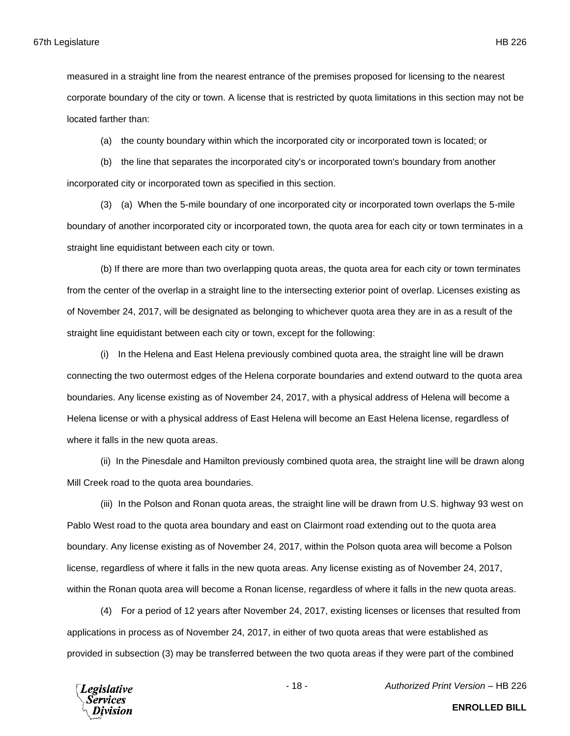measured in a straight line from the nearest entrance of the premises proposed for licensing to the nearest corporate boundary of the city or town. A license that is restricted by quota limitations in this section may not be located farther than:

(a) the county boundary within which the incorporated city or incorporated town is located; or

(b) the line that separates the incorporated city's or incorporated town's boundary from another incorporated city or incorporated town as specified in this section.

(3) (a) When the 5-mile boundary of one incorporated city or incorporated town overlaps the 5-mile boundary of another incorporated city or incorporated town, the quota area for each city or town terminates in a straight line equidistant between each city or town.

(b) If there are more than two overlapping quota areas, the quota area for each city or town terminates from the center of the overlap in a straight line to the intersecting exterior point of overlap. Licenses existing as of November 24, 2017, will be designated as belonging to whichever quota area they are in as a result of the straight line equidistant between each city or town, except for the following:

(i) In the Helena and East Helena previously combined quota area, the straight line will be drawn connecting the two outermost edges of the Helena corporate boundaries and extend outward to the quota area boundaries. Any license existing as of November 24, 2017, with a physical address of Helena will become a Helena license or with a physical address of East Helena will become an East Helena license, regardless of where it falls in the new quota areas.

(ii) In the Pinesdale and Hamilton previously combined quota area, the straight line will be drawn along Mill Creek road to the quota area boundaries.

(iii) In the Polson and Ronan quota areas, the straight line will be drawn from U.S. highway 93 west on Pablo West road to the quota area boundary and east on Clairmont road extending out to the quota area boundary. Any license existing as of November 24, 2017, within the Polson quota area will become a Polson license, regardless of where it falls in the new quota areas. Any license existing as of November 24, 2017, within the Ronan quota area will become a Ronan license, regardless of where it falls in the new quota areas.

(4) For a period of 12 years after November 24, 2017, existing licenses or licenses that resulted from applications in process as of November 24, 2017, in either of two quota areas that were established as provided in subsection (3) may be transferred between the two quota areas if they were part of the combined



- 18 - *Authorized Print Version* – HB 226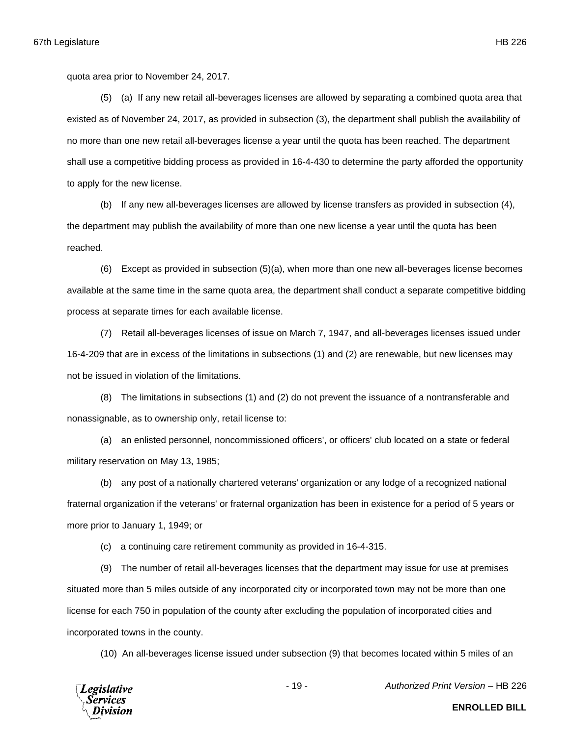quota area prior to November 24, 2017.

(5) (a) If any new retail all-beverages licenses are allowed by separating a combined quota area that existed as of November 24, 2017, as provided in subsection (3), the department shall publish the availability of no more than one new retail all-beverages license a year until the quota has been reached. The department shall use a competitive bidding process as provided in 16-4-430 to determine the party afforded the opportunity to apply for the new license.

(b) If any new all-beverages licenses are allowed by license transfers as provided in subsection (4), the department may publish the availability of more than one new license a year until the quota has been reached.

(6) Except as provided in subsection (5)(a), when more than one new all-beverages license becomes available at the same time in the same quota area, the department shall conduct a separate competitive bidding process at separate times for each available license.

(7) Retail all-beverages licenses of issue on March 7, 1947, and all-beverages licenses issued under 16-4-209 that are in excess of the limitations in subsections (1) and (2) are renewable, but new licenses may not be issued in violation of the limitations.

(8) The limitations in subsections (1) and (2) do not prevent the issuance of a nontransferable and nonassignable, as to ownership only, retail license to:

(a) an enlisted personnel, noncommissioned officers', or officers' club located on a state or federal military reservation on May 13, 1985;

(b) any post of a nationally chartered veterans' organization or any lodge of a recognized national fraternal organization if the veterans' or fraternal organization has been in existence for a period of 5 years or more prior to January 1, 1949; or

(c) a continuing care retirement community as provided in 16-4-315.

(9) The number of retail all-beverages licenses that the department may issue for use at premises situated more than 5 miles outside of any incorporated city or incorporated town may not be more than one license for each 750 in population of the county after excluding the population of incorporated cities and incorporated towns in the county.

(10) An all-beverages license issued under subsection (9) that becomes located within 5 miles of an



- 19 - *Authorized Print Version* – HB 226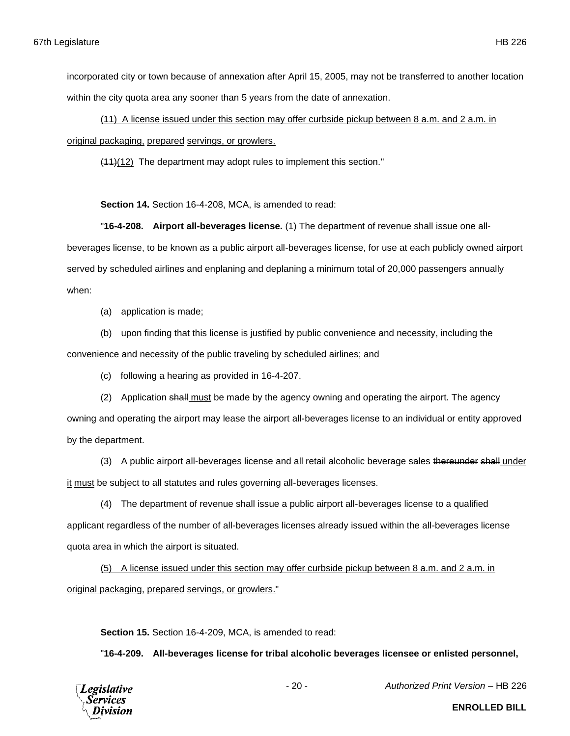incorporated city or town because of annexation after April 15, 2005, may not be transferred to another location within the city quota area any sooner than 5 years from the date of annexation.

(11) A license issued under this section may offer curbside pickup between 8 a.m. and 2 a.m. in original packaging, prepared servings, or growlers.

(11)(12) The department may adopt rules to implement this section."

**Section 14.** Section 16-4-208, MCA, is amended to read:

"**16-4-208. Airport all-beverages license.** (1) The department of revenue shall issue one allbeverages license, to be known as a public airport all-beverages license, for use at each publicly owned airport served by scheduled airlines and enplaning and deplaning a minimum total of 20,000 passengers annually when:

(a) application is made;

(b) upon finding that this license is justified by public convenience and necessity, including the

convenience and necessity of the public traveling by scheduled airlines; and

(c) following a hearing as provided in 16-4-207.

(2) Application shall must be made by the agency owning and operating the airport. The agency

owning and operating the airport may lease the airport all-beverages license to an individual or entity approved by the department.

(3) A public airport all-beverages license and all retail alcoholic beverage sales thereunder shall under

it must be subject to all statutes and rules governing all-beverages licenses.

(4) The department of revenue shall issue a public airport all-beverages license to a qualified applicant regardless of the number of all-beverages licenses already issued within the all-beverages license quota area in which the airport is situated.

(5) A license issued under this section may offer curbside pickup between 8 a.m. and 2 a.m. in original packaging, prepared servings, or growlers."

**Section 15.** Section 16-4-209, MCA, is amended to read:

"**16-4-209. All-beverages license for tribal alcoholic beverages licensee or enlisted personnel,** 



- 20 - *Authorized Print Version* – HB 226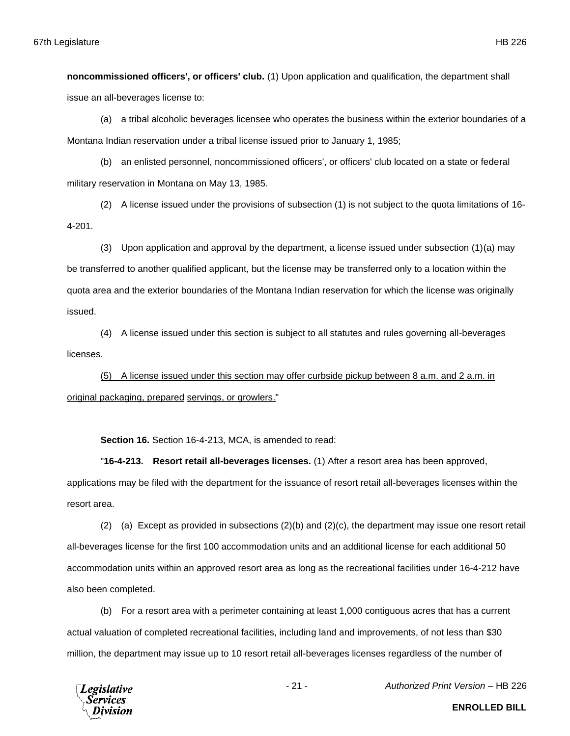**noncommissioned officers', or officers' club.** (1) Upon application and qualification, the department shall issue an all-beverages license to:

(a) a tribal alcoholic beverages licensee who operates the business within the exterior boundaries of a Montana Indian reservation under a tribal license issued prior to January 1, 1985;

(b) an enlisted personnel, noncommissioned officers', or officers' club located on a state or federal military reservation in Montana on May 13, 1985.

(2) A license issued under the provisions of subsection (1) is not subject to the quota limitations of 16- 4-201.

(3) Upon application and approval by the department, a license issued under subsection (1)(a) may be transferred to another qualified applicant, but the license may be transferred only to a location within the quota area and the exterior boundaries of the Montana Indian reservation for which the license was originally issued.

(4) A license issued under this section is subject to all statutes and rules governing all-beverages licenses.

(5) A license issued under this section may offer curbside pickup between 8 a.m. and 2 a.m. in original packaging, prepared servings, or growlers."

**Section 16.** Section 16-4-213, MCA, is amended to read:

"**16-4-213. Resort retail all-beverages licenses.** (1) After a resort area has been approved, applications may be filed with the department for the issuance of resort retail all-beverages licenses within the resort area.

(2) (a) Except as provided in subsections  $(2)(b)$  and  $(2)(c)$ , the department may issue one resort retail all-beverages license for the first 100 accommodation units and an additional license for each additional 50 accommodation units within an approved resort area as long as the recreational facilities under 16-4-212 have also been completed.

(b) For a resort area with a perimeter containing at least 1,000 contiguous acres that has a current actual valuation of completed recreational facilities, including land and improvements, of not less than \$30 million, the department may issue up to 10 resort retail all-beverages licenses regardless of the number of



- 21 - *Authorized Print Version* – HB 226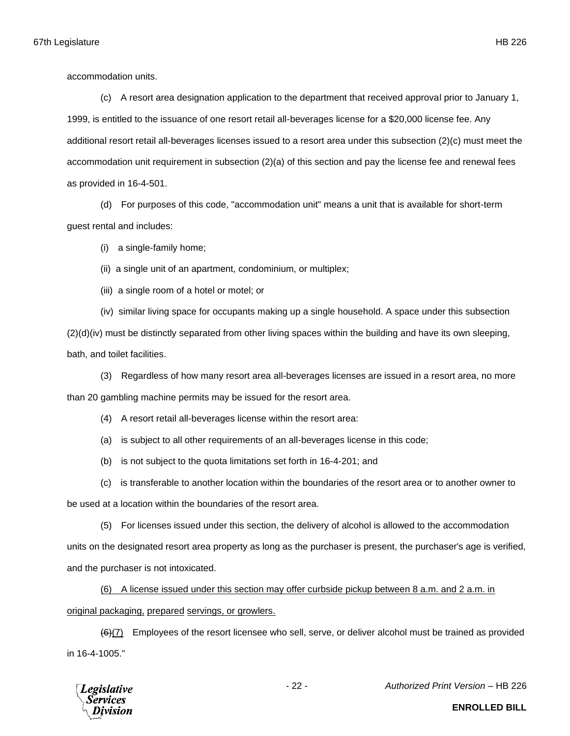accommodation units.

(c) A resort area designation application to the department that received approval prior to January 1, 1999, is entitled to the issuance of one resort retail all-beverages license for a \$20,000 license fee. Any additional resort retail all-beverages licenses issued to a resort area under this subsection (2)(c) must meet the accommodation unit requirement in subsection (2)(a) of this section and pay the license fee and renewal fees as provided in 16-4-501.

(d) For purposes of this code, "accommodation unit" means a unit that is available for short-term guest rental and includes:

(i) a single-family home;

(ii) a single unit of an apartment, condominium, or multiplex;

(iii) a single room of a hotel or motel; or

(iv) similar living space for occupants making up a single household. A space under this subsection (2)(d)(iv) must be distinctly separated from other living spaces within the building and have its own sleeping, bath, and toilet facilities.

(3) Regardless of how many resort area all-beverages licenses are issued in a resort area, no more than 20 gambling machine permits may be issued for the resort area.

(4) A resort retail all-beverages license within the resort area:

(a) is subject to all other requirements of an all-beverages license in this code;

- (b) is not subject to the quota limitations set forth in 16-4-201; and
- (c) is transferable to another location within the boundaries of the resort area or to another owner to

be used at a location within the boundaries of the resort area.

(5) For licenses issued under this section, the delivery of alcohol is allowed to the accommodation

units on the designated resort area property as long as the purchaser is present, the purchaser's age is verified, and the purchaser is not intoxicated.

(6) A license issued under this section may offer curbside pickup between 8 a.m. and 2 a.m. in original packaging, prepared servings, or growlers.

 $(6)(7)$  Employees of the resort licensee who sell, serve, or deliver alcohol must be trained as provided in 16-4-1005."



- 22 - *Authorized Print Version* – HB 226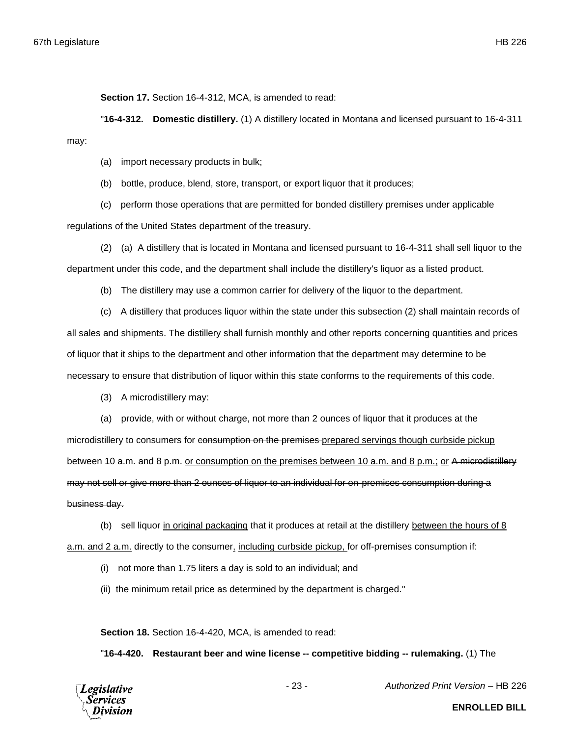**Section 17.** Section 16-4-312, MCA, is amended to read:

"**16-4-312. Domestic distillery.** (1) A distillery located in Montana and licensed pursuant to 16-4-311 may:

(a) import necessary products in bulk;

(b) bottle, produce, blend, store, transport, or export liquor that it produces;

(c) perform those operations that are permitted for bonded distillery premises under applicable

regulations of the United States department of the treasury.

(2) (a) A distillery that is located in Montana and licensed pursuant to 16-4-311 shall sell liquor to the department under this code, and the department shall include the distillery's liquor as a listed product.

(b) The distillery may use a common carrier for delivery of the liquor to the department.

(c) A distillery that produces liquor within the state under this subsection (2) shall maintain records of all sales and shipments. The distillery shall furnish monthly and other reports concerning quantities and prices of liquor that it ships to the department and other information that the department may determine to be necessary to ensure that distribution of liquor within this state conforms to the requirements of this code.

(3) A microdistillery may:

(a) provide, with or without charge, not more than 2 ounces of liquor that it produces at the

microdistillery to consumers for consumption on the premises-prepared servings though curbside pickup between 10 a.m. and 8 p.m. or consumption on the premises between 10 a.m. and 8 p.m.; or A microdistillery may not sell or give more than 2 ounces of liquor to an individual for on-premises consumption during a business day.

(b) sell liquor in original packaging that it produces at retail at the distillery between the hours of 8 a.m. and 2 a.m. directly to the consumer, including curbside pickup, for off-premises consumption if:

- (i) not more than 1.75 liters a day is sold to an individual; and
- (ii) the minimum retail price as determined by the department is charged."

**Section 18.** Section 16-4-420, MCA, is amended to read:

"**16-4-420. Restaurant beer and wine license -- competitive bidding -- rulemaking.** (1) The



- 23 - *Authorized Print Version* – HB 226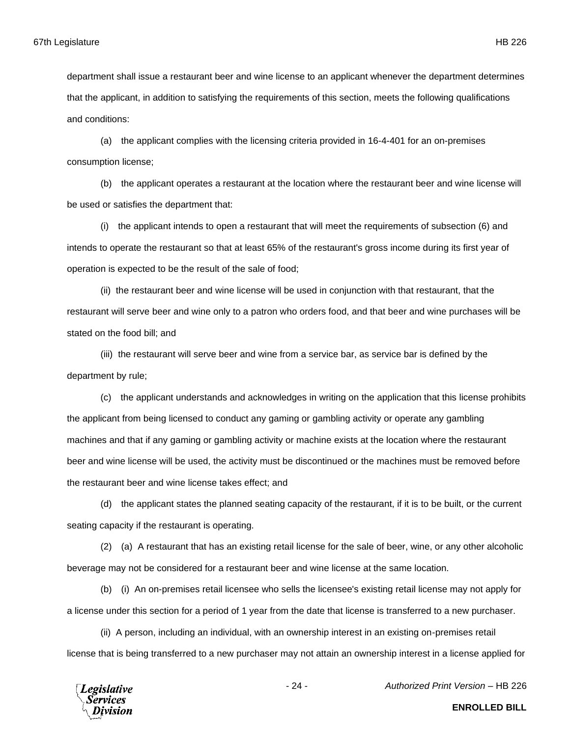department shall issue a restaurant beer and wine license to an applicant whenever the department determines that the applicant, in addition to satisfying the requirements of this section, meets the following qualifications and conditions:

(a) the applicant complies with the licensing criteria provided in 16-4-401 for an on-premises consumption license;

(b) the applicant operates a restaurant at the location where the restaurant beer and wine license will be used or satisfies the department that:

(i) the applicant intends to open a restaurant that will meet the requirements of subsection (6) and intends to operate the restaurant so that at least 65% of the restaurant's gross income during its first year of operation is expected to be the result of the sale of food;

(ii) the restaurant beer and wine license will be used in conjunction with that restaurant, that the restaurant will serve beer and wine only to a patron who orders food, and that beer and wine purchases will be stated on the food bill; and

(iii) the restaurant will serve beer and wine from a service bar, as service bar is defined by the department by rule;

(c) the applicant understands and acknowledges in writing on the application that this license prohibits the applicant from being licensed to conduct any gaming or gambling activity or operate any gambling machines and that if any gaming or gambling activity or machine exists at the location where the restaurant beer and wine license will be used, the activity must be discontinued or the machines must be removed before the restaurant beer and wine license takes effect; and

(d) the applicant states the planned seating capacity of the restaurant, if it is to be built, or the current seating capacity if the restaurant is operating.

(2) (a) A restaurant that has an existing retail license for the sale of beer, wine, or any other alcoholic beverage may not be considered for a restaurant beer and wine license at the same location.

(b) (i) An on-premises retail licensee who sells the licensee's existing retail license may not apply for a license under this section for a period of 1 year from the date that license is transferred to a new purchaser.

(ii) A person, including an individual, with an ownership interest in an existing on-premises retail license that is being transferred to a new purchaser may not attain an ownership interest in a license applied for



- 24 - *Authorized Print Version* – HB 226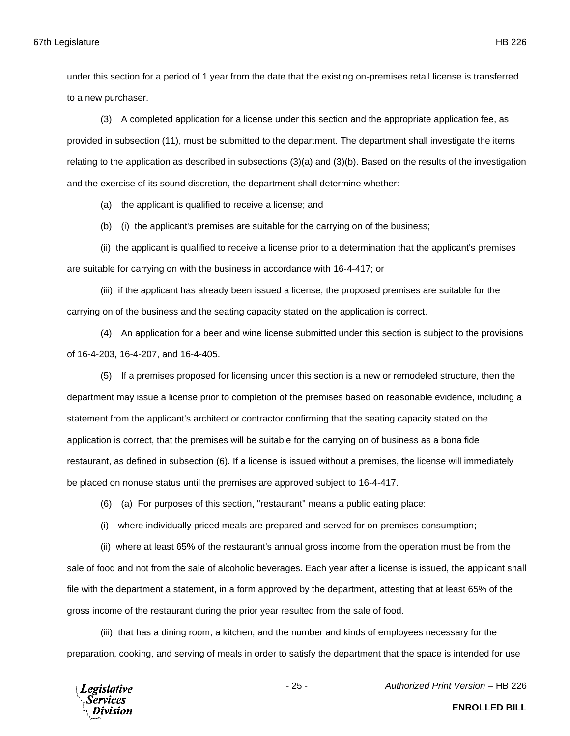under this section for a period of 1 year from the date that the existing on-premises retail license is transferred to a new purchaser.

(3) A completed application for a license under this section and the appropriate application fee, as provided in subsection (11), must be submitted to the department. The department shall investigate the items relating to the application as described in subsections (3)(a) and (3)(b). Based on the results of the investigation and the exercise of its sound discretion, the department shall determine whether:

(a) the applicant is qualified to receive a license; and

(b) (i) the applicant's premises are suitable for the carrying on of the business;

(ii) the applicant is qualified to receive a license prior to a determination that the applicant's premises are suitable for carrying on with the business in accordance with 16-4-417; or

(iii) if the applicant has already been issued a license, the proposed premises are suitable for the carrying on of the business and the seating capacity stated on the application is correct.

(4) An application for a beer and wine license submitted under this section is subject to the provisions of 16-4-203, 16-4-207, and 16-4-405.

(5) If a premises proposed for licensing under this section is a new or remodeled structure, then the department may issue a license prior to completion of the premises based on reasonable evidence, including a statement from the applicant's architect or contractor confirming that the seating capacity stated on the application is correct, that the premises will be suitable for the carrying on of business as a bona fide restaurant, as defined in subsection (6). If a license is issued without a premises, the license will immediately be placed on nonuse status until the premises are approved subject to 16-4-417.

(6) (a) For purposes of this section, "restaurant" means a public eating place:

(i) where individually priced meals are prepared and served for on-premises consumption;

(ii) where at least 65% of the restaurant's annual gross income from the operation must be from the sale of food and not from the sale of alcoholic beverages. Each year after a license is issued, the applicant shall file with the department a statement, in a form approved by the department, attesting that at least 65% of the gross income of the restaurant during the prior year resulted from the sale of food.

(iii) that has a dining room, a kitchen, and the number and kinds of employees necessary for the preparation, cooking, and serving of meals in order to satisfy the department that the space is intended for use

**Legislative** 

- 25 - *Authorized Print Version* – HB 226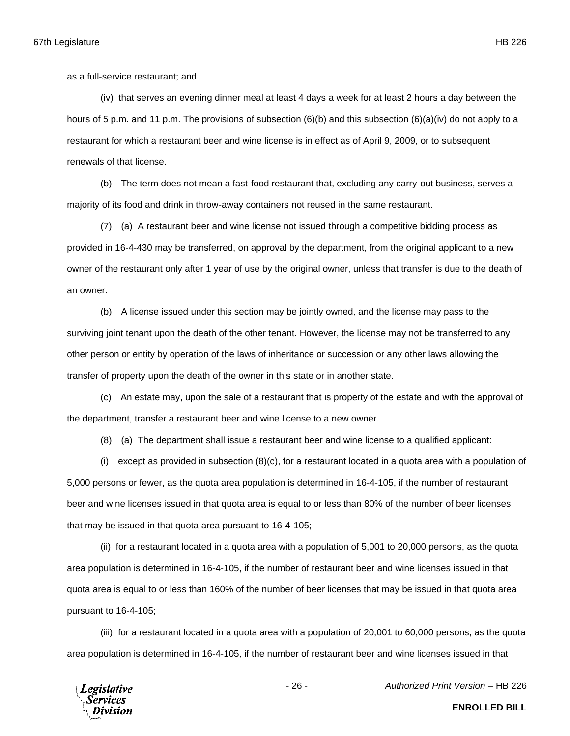as a full-service restaurant; and

(iv) that serves an evening dinner meal at least 4 days a week for at least 2 hours a day between the hours of 5 p.m. and 11 p.m. The provisions of subsection (6)(b) and this subsection (6)(a)(iv) do not apply to a restaurant for which a restaurant beer and wine license is in effect as of April 9, 2009, or to subsequent renewals of that license.

(b) The term does not mean a fast-food restaurant that, excluding any carry-out business, serves a majority of its food and drink in throw-away containers not reused in the same restaurant.

(7) (a) A restaurant beer and wine license not issued through a competitive bidding process as provided in 16-4-430 may be transferred, on approval by the department, from the original applicant to a new owner of the restaurant only after 1 year of use by the original owner, unless that transfer is due to the death of an owner.

(b) A license issued under this section may be jointly owned, and the license may pass to the surviving joint tenant upon the death of the other tenant. However, the license may not be transferred to any other person or entity by operation of the laws of inheritance or succession or any other laws allowing the transfer of property upon the death of the owner in this state or in another state.

(c) An estate may, upon the sale of a restaurant that is property of the estate and with the approval of the department, transfer a restaurant beer and wine license to a new owner.

(8) (a) The department shall issue a restaurant beer and wine license to a qualified applicant:

 $(i)$  except as provided in subsection  $(8)(c)$ , for a restaurant located in a quota area with a population of 5,000 persons or fewer, as the quota area population is determined in 16-4-105, if the number of restaurant beer and wine licenses issued in that quota area is equal to or less than 80% of the number of beer licenses that may be issued in that quota area pursuant to 16-4-105;

(ii) for a restaurant located in a quota area with a population of 5,001 to 20,000 persons, as the quota area population is determined in 16-4-105, if the number of restaurant beer and wine licenses issued in that quota area is equal to or less than 160% of the number of beer licenses that may be issued in that quota area pursuant to 16-4-105;

(iii) for a restaurant located in a quota area with a population of 20,001 to 60,000 persons, as the quota area population is determined in 16-4-105, if the number of restaurant beer and wine licenses issued in that



- 26 - *Authorized Print Version* – HB 226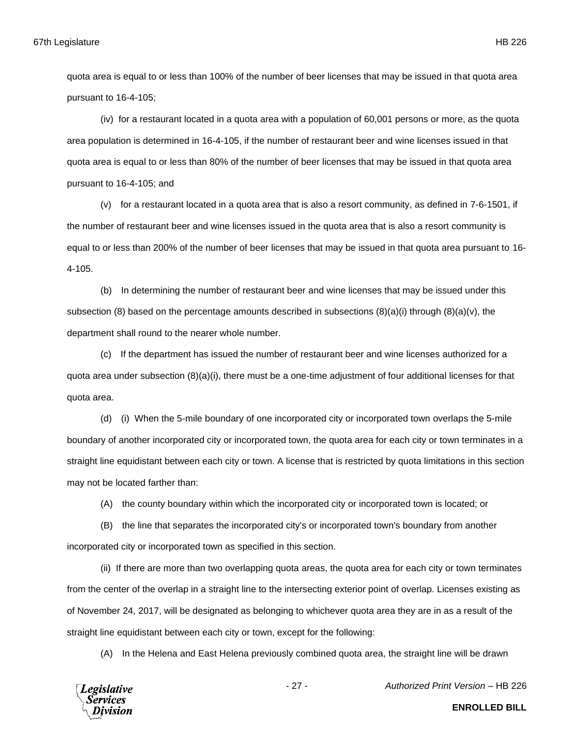quota area is equal to or less than 100% of the number of beer licenses that may be issued in that quota area pursuant to 16-4-105;

(iv) for a restaurant located in a quota area with a population of 60,001 persons or more, as the quota area population is determined in 16-4-105, if the number of restaurant beer and wine licenses issued in that quota area is equal to or less than 80% of the number of beer licenses that may be issued in that quota area pursuant to 16-4-105; and

(v) for a restaurant located in a quota area that is also a resort community, as defined in 7-6-1501, if the number of restaurant beer and wine licenses issued in the quota area that is also a resort community is equal to or less than 200% of the number of beer licenses that may be issued in that quota area pursuant to 16- 4-105.

(b) In determining the number of restaurant beer and wine licenses that may be issued under this subsection (8) based on the percentage amounts described in subsections  $(8)(a)(i)$  through  $(8)(a)(v)$ , the department shall round to the nearer whole number.

(c) If the department has issued the number of restaurant beer and wine licenses authorized for a quota area under subsection (8)(a)(i), there must be a one-time adjustment of four additional licenses for that quota area.

(d) (i) When the 5-mile boundary of one incorporated city or incorporated town overlaps the 5-mile boundary of another incorporated city or incorporated town, the quota area for each city or town terminates in a straight line equidistant between each city or town. A license that is restricted by quota limitations in this section may not be located farther than:

(A) the county boundary within which the incorporated city or incorporated town is located; or

(B) the line that separates the incorporated city's or incorporated town's boundary from another incorporated city or incorporated town as specified in this section.

(ii) If there are more than two overlapping quota areas, the quota area for each city or town terminates from the center of the overlap in a straight line to the intersecting exterior point of overlap. Licenses existing as of November 24, 2017, will be designated as belonging to whichever quota area they are in as a result of the straight line equidistant between each city or town, except for the following:

(A) In the Helena and East Helena previously combined quota area, the straight line will be drawn

**Legislative** *Services* ivision

- 27 - *Authorized Print Version* – HB 226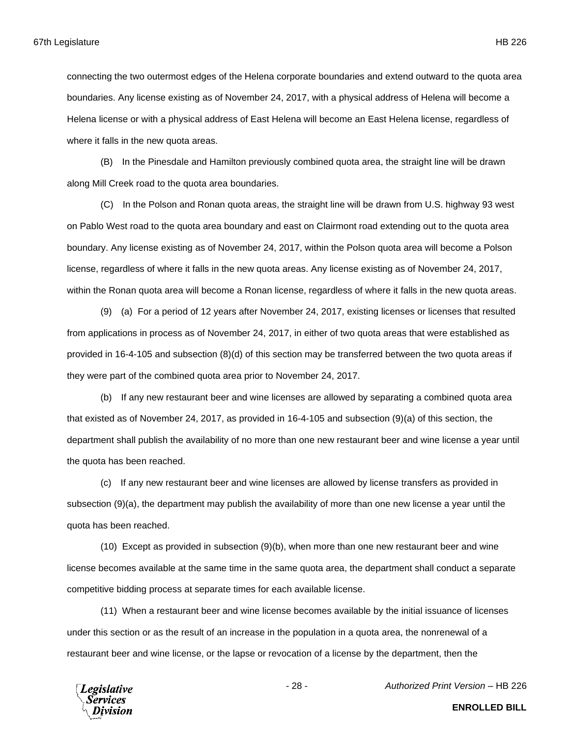connecting the two outermost edges of the Helena corporate boundaries and extend outward to the quota area boundaries. Any license existing as of November 24, 2017, with a physical address of Helena will become a Helena license or with a physical address of East Helena will become an East Helena license, regardless of where it falls in the new quota areas.

(B) In the Pinesdale and Hamilton previously combined quota area, the straight line will be drawn along Mill Creek road to the quota area boundaries.

(C) In the Polson and Ronan quota areas, the straight line will be drawn from U.S. highway 93 west on Pablo West road to the quota area boundary and east on Clairmont road extending out to the quota area boundary. Any license existing as of November 24, 2017, within the Polson quota area will become a Polson license, regardless of where it falls in the new quota areas. Any license existing as of November 24, 2017, within the Ronan quota area will become a Ronan license, regardless of where it falls in the new quota areas.

(9) (a) For a period of 12 years after November 24, 2017, existing licenses or licenses that resulted from applications in process as of November 24, 2017, in either of two quota areas that were established as provided in 16-4-105 and subsection (8)(d) of this section may be transferred between the two quota areas if they were part of the combined quota area prior to November 24, 2017.

(b) If any new restaurant beer and wine licenses are allowed by separating a combined quota area that existed as of November 24, 2017, as provided in 16-4-105 and subsection (9)(a) of this section, the department shall publish the availability of no more than one new restaurant beer and wine license a year until the quota has been reached.

(c) If any new restaurant beer and wine licenses are allowed by license transfers as provided in subsection (9)(a), the department may publish the availability of more than one new license a year until the quota has been reached.

(10) Except as provided in subsection (9)(b), when more than one new restaurant beer and wine license becomes available at the same time in the same quota area, the department shall conduct a separate competitive bidding process at separate times for each available license.

(11) When a restaurant beer and wine license becomes available by the initial issuance of licenses under this section or as the result of an increase in the population in a quota area, the nonrenewal of a restaurant beer and wine license, or the lapse or revocation of a license by the department, then the



- 28 - *Authorized Print Version* – HB 226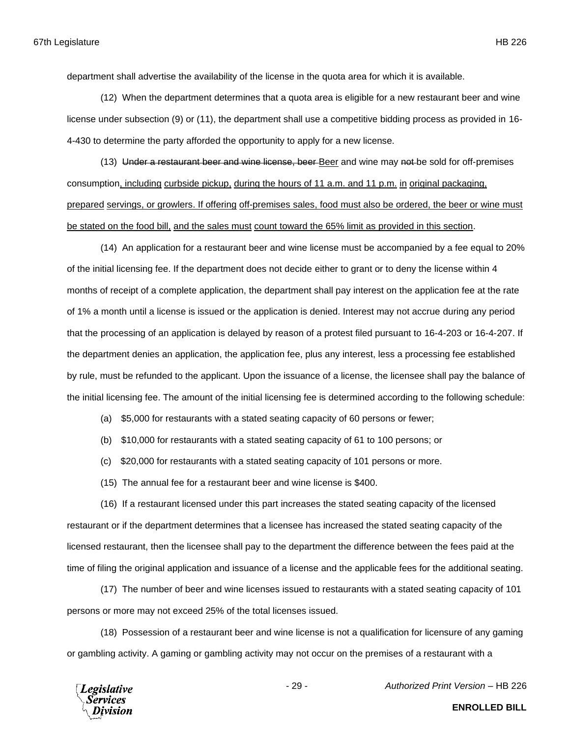department shall advertise the availability of the license in the quota area for which it is available.

(12) When the department determines that a quota area is eligible for a new restaurant beer and wine license under subsection (9) or (11), the department shall use a competitive bidding process as provided in 16- 4-430 to determine the party afforded the opportunity to apply for a new license.

(13) Under a restaurant beer and wine license, beer Beer and wine may not be sold for off-premises consumption, including curbside pickup, during the hours of 11 a.m. and 11 p.m. in original packaging, prepared servings, or growlers. If offering off-premises sales, food must also be ordered, the beer or wine must be stated on the food bill, and the sales must count toward the 65% limit as provided in this section.

(14) An application for a restaurant beer and wine license must be accompanied by a fee equal to 20% of the initial licensing fee. If the department does not decide either to grant or to deny the license within 4 months of receipt of a complete application, the department shall pay interest on the application fee at the rate of 1% a month until a license is issued or the application is denied. Interest may not accrue during any period that the processing of an application is delayed by reason of a protest filed pursuant to 16-4-203 or 16-4-207. If the department denies an application, the application fee, plus any interest, less a processing fee established by rule, must be refunded to the applicant. Upon the issuance of a license, the licensee shall pay the balance of the initial licensing fee. The amount of the initial licensing fee is determined according to the following schedule:

- (a) \$5,000 for restaurants with a stated seating capacity of 60 persons or fewer;
- (b) \$10,000 for restaurants with a stated seating capacity of 61 to 100 persons; or
- (c) \$20,000 for restaurants with a stated seating capacity of 101 persons or more.
- (15) The annual fee for a restaurant beer and wine license is \$400.

(16) If a restaurant licensed under this part increases the stated seating capacity of the licensed restaurant or if the department determines that a licensee has increased the stated seating capacity of the licensed restaurant, then the licensee shall pay to the department the difference between the fees paid at the time of filing the original application and issuance of a license and the applicable fees for the additional seating.

(17) The number of beer and wine licenses issued to restaurants with a stated seating capacity of 101 persons or more may not exceed 25% of the total licenses issued.

(18) Possession of a restaurant beer and wine license is not a qualification for licensure of any gaming or gambling activity. A gaming or gambling activity may not occur on the premises of a restaurant with a



- 29 - *Authorized Print Version* – HB 226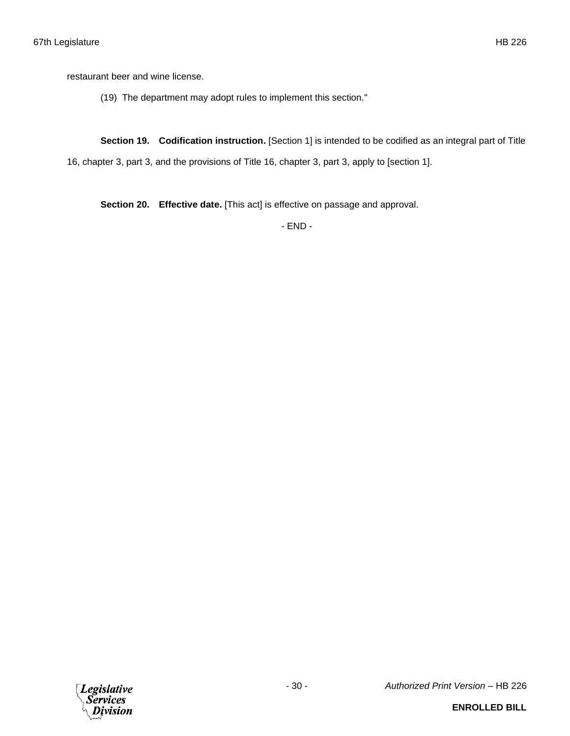restaurant beer and wine license.

(19) The department may adopt rules to implement this section."

**Section 19. Codification instruction.** [Section 1] is intended to be codified as an integral part of Title

16, chapter 3, part 3, and the provisions of Title 16, chapter 3, part 3, apply to [section 1].

**Section 20. Effective date.** [This act] is effective on passage and approval.

- END -

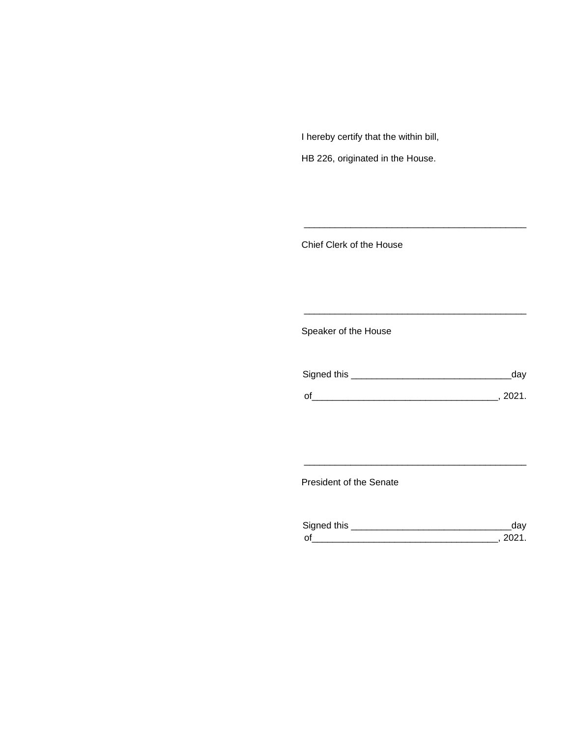I hereby certify that the within bill,

HB 226, originated in the House.

Chief Clerk of the House

Speaker of the House

| Signed this | dav    |
|-------------|--------|
| $\Omega$    | - 2021 |

\_\_\_\_\_\_\_\_\_\_\_\_\_\_\_\_\_\_\_\_\_\_\_\_\_\_\_\_\_\_\_\_\_\_\_\_\_\_\_\_\_\_\_

\_\_\_\_\_\_\_\_\_\_\_\_\_\_\_\_\_\_\_\_\_\_\_\_\_\_\_\_\_\_\_\_\_\_\_\_\_\_\_\_\_\_\_

President of the Senate

| Sianed this |  |
|-------------|--|
| $\Omega$    |  |

\_\_\_\_\_\_\_\_\_\_\_\_\_\_\_\_\_\_\_\_\_\_\_\_\_\_\_\_\_\_\_\_\_\_\_\_\_\_\_\_\_\_\_